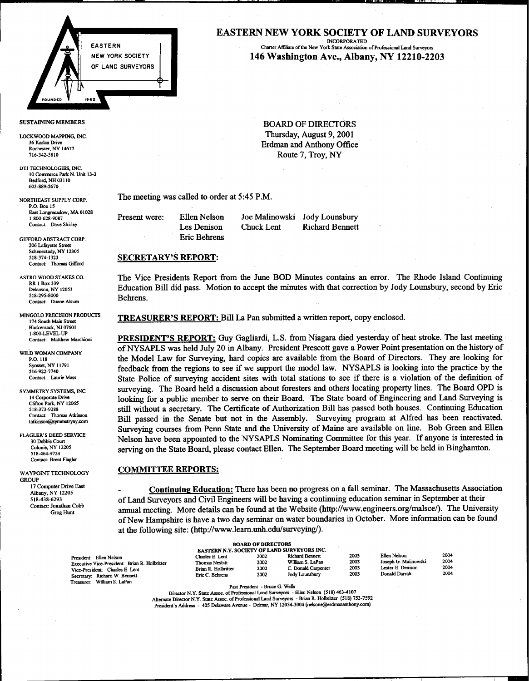

LOCKWOOD MAPPING, INC.

- DTI TECHNOLOGIES, INC. 10 Commerce Park N. Unit 13-3 Bedford, NH 03110 603-889-2670
- P.O. Box 15 East Longmeadow, MA 01028<br>1-800-628-9087

206 Lafayette Stree Schenectady, NY 12305<br>518-374-1323 Contact: Thomas Gifford

518-295-8000<br>Contact: Duane Alsum Behrens.

MINGOLO PRECISION PRODUCTS Hackensack, NJ 07601 1-800-LEVEL-UP<br>Contact: Matthew Marchioni

Contact: Brent Flagler

GROUP<br>17 Computer Drive East

# EASTERN NEW YORK SOCIETY OF LAND SURVEYORS

EASTERN **INCORPORATED**<br>Charter Affiliate of the New York State Association of Professional Land Surveyors NEW YORK SOCIETY | **146 Washington Ave., Albany, NY 12210-2203** 

SUSTAINING MEMBERS BOARD OF DIRECTORS 36 Kwood Mapping, inc. The contract of the contract of the contract of the contract of the contract of the contract of the contract of the contract of the contract of the contract of the contract of the contract of the con 36 Karlan Drive<br>
Rochester, NY 14617<br>
Rochester, NY 14617  $716-342-5810$  Route 7, Troy, NY

NORTHEAST SUPPLY CORP. The meeting was called to order at 5:45 P.M.

Present were: Ellen Nelson Joe Malinowski Jody Lounsbury Contact: Dave Shirley Les Denison GIFFORD ABSTRACT CORP **EXECUTE EXECUTE EXECUTE EXECUTE EXECUTE EXECUTE EXECUTE EXECUTE** 

Chuck Lent Richard Bennett

### **SECRETARY'S REPORT:**

ASTRO WOOD STAKES CO. The Vice Presidents Report from the June BOD Minutes contains an error. The Rhode Island Continuin Delanson, NY 12053 Education Bill did pass. Motion to accept the minutes with that correction by Jody Lounsbury, second by Eric

VGOLO PRECISION PRODUCTS TREASURER'S REPORT: Bill La Pan submitted a written report, copy enclosed.

PRESIDENT'S REPORT: Guy Gagliardi, L.S. from Niagara died yesterday of heat stroke. The last meeting WILD WOMAN COMPANY of NYSAPLS was held July 20 in Albany. President Prescott gave a Power Point presentation on the history of P.O. 118<br>P.O. 118 the Model Law for Surveying, hard copies are available from the Board of Directors. They are looking for<br>Syosset, NY 11791<br>Syosset, NY 11791 Syosset, NY 11791 fieedback from the regions to see if we support the model law. NYSAPLS is looking into the practice by the Contact: Laurie Mass State Police of surveying accident sites with total stations to see if there is a violation of the definition of SYMMETRY SYSTEMS, INC. SUITVEYING. The Board held a discussion about foresters and others locating property lines. The Board OPD is 14 Corporate Drive<br>Clifton Park NY 12065 looking for a public member to serve on their Board. The State board of Engineering and Land Surveying is 518-373-9288. Still without a secretary. The Certificate of Authorization Bill has passed both houses. Continuing Education Contact: Thomas Atkinson Contact: Thomas Atkinson Bill passed in the Senate but not in the Assembly. Surveying program at Alfred has been reactivated. Surveying courses from Penn State and the University of Maine are available on line. Bob Green and Ellen FLAGLER'S DEED SERVICE Melson have been appointed to the NYSAPLS Nominating Committee for this year. If anyone is interested in Colonie, NY 12205 serving on the State Board, please contact Ellen. The September Board meeting will be held in Binghamton.

## WAYPOINT TECHNOLOGY **COMMITTEE REPORTS:**

JUP<br>17 Computer Drive East **1996 - Londinuing Education:** There has been no progress on a fall seminar. The Massachusetts Associa 518438-6293 of Land Surveyors and Civil Engineers will be having a continuing education seminar in September at their Contact: Jonathan Cobb ... Greg Hunt annual meeting. More details can be found at the Website (http://www.engineers.org/malsce/). The University of New Hampshire is have a two day seminar on water boundaries in October. More information can be found at the following site: (http://www.learn.unh.edu/surveying/).

| <b>BOARD OF DIRECTORS</b><br>EASTERN N.Y. SOCIETY OF LAND SURVEYORS INC.                                                                                                       |                                                                             |                                           |                                                                                               |                              |                                                                            |                              |  |  |  |
|--------------------------------------------------------------------------------------------------------------------------------------------------------------------------------|-----------------------------------------------------------------------------|-------------------------------------------|-----------------------------------------------------------------------------------------------|------------------------------|----------------------------------------------------------------------------|------------------------------|--|--|--|
| President: Ellen Nelson<br>Executive Vice-President: Brian R. Holbritter<br>Vice-President: Charles E. Lent<br>Secretary: Richard W. Bennett<br>William S. LaPan<br>Treasurer: | Charles E. Lent<br>Thomas Nesbitt<br>Brian R. Holbritter<br>Eric C. Behrens | 2002<br>2002<br>2002<br>2002<br>_ _ _ _ _ | <b>Richard Bennett</b><br>William S. LaPan<br>C. Donald Carpenter<br>Jody Lounsbury<br>------ | 2003<br>2003<br>2003<br>2003 | Ellen Nelson<br>Joseph G. Malinowski<br>Lester E. Denison<br>Donald Darrah | 2004<br>2004<br>2004<br>2004 |  |  |  |

Past President - Bruce G. Wells

Director N.Y. State Assoc. of Professional Land Surveyors - Ellen Nelson (518) 463-4107 Alternate Director N.Y. State Assoc. of Professional Land Surveyors - Brian R. Holbritter (518) 753-7592 President's Address - 405 Delaware Avenue - Delmar, NY 12054-3004 (nelsone@erdmananthony.com)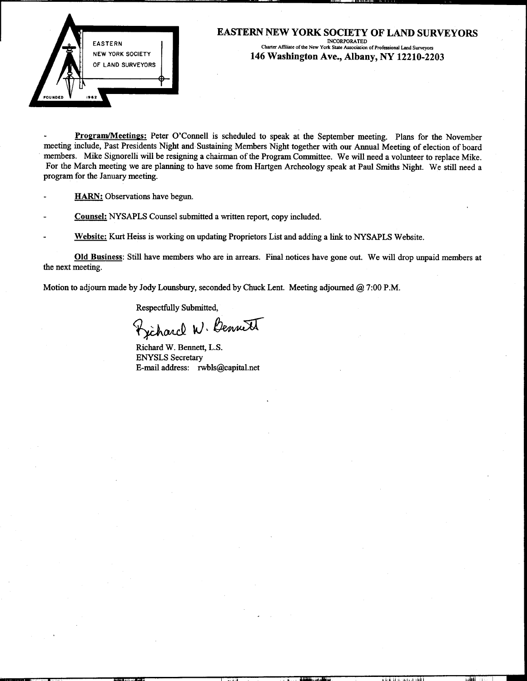

# EASTERN NEW YORK SOCIETY OF LAND SURVEYORS EASTERN INCORPORA.TED Charter Affiliate oflbe New York State AssOC1atIOD ofProfcssional Land Surveyors 146 Washington Ave., Albany, NY 12210-2203

Program/Meetings: Peter O'Connell is scheduled to speak at the September meeting. Plans for the November meeting include, Past Presidents Night and Sustaining Members Night together with our Annual Meeting of election of board members. Mike Signorelli will be resigning a chairman of the Program Committee. We will need a volunteer to replace Mike. For the March meeting we are planning to have some from Hartgen Archeology speak at Paul Smiths Night. We still need a program for the January meeting.

- HARN: Observations have begun.
- Counsel: NYSAPLS Counsel submitted a written report, copy included.
- Website: Kurt Heiss is working on updating Proprietors List and adding a link to NYSAPLS Website.

Old Husiness: Still have members who are in arrears. Final notices have gone out. We will drop unpaid members at the next meeting.

~ -.0' " iii ..,," .I I. j '" I.. Jill' .I ",j

Motion to adjourn made by Jody Lounsbury, seconded by Chuck Lent. Meeting adjourned @ 7:00 P.M.

Respectfully Submitted,

Fjiharcl W. Bennett

Richard W. Bennett, L.S. ENYSLS Secretary E-mail address: rwbls@capital.net